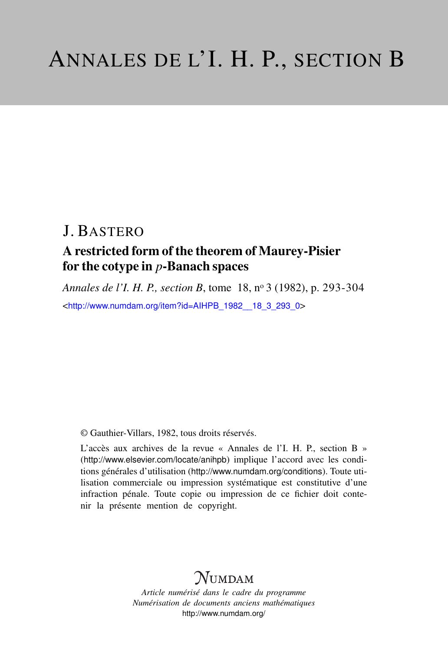# J. BASTERO

## A restricted form of the theorem of Maurey-Pisier for the cotype in *p*-Banach spaces

*Annales de l'I. H. P., section B*, tome 18, n<sup>o</sup> 3 (1982), p. 293-304 <[http://www.numdam.org/item?id=AIHPB\\_1982\\_\\_18\\_3\\_293\\_0](http://www.numdam.org/item?id=AIHPB_1982__18_3_293_0)>

© Gauthier-Villars, 1982, tous droits réservés.

L'accès aux archives de la revue « Annales de l'I. H. P., section B » (<http://www.elsevier.com/locate/anihpb>) implique l'accord avec les conditions générales d'utilisation (<http://www.numdam.org/conditions>). Toute utilisation commerciale ou impression systématique est constitutive d'une infraction pénale. Toute copie ou impression de ce fichier doit contenir la présente mention de copyright.

# $N$ UMDAM

*Article numérisé dans le cadre du programme Numérisation de documents anciens mathématiques* <http://www.numdam.org/>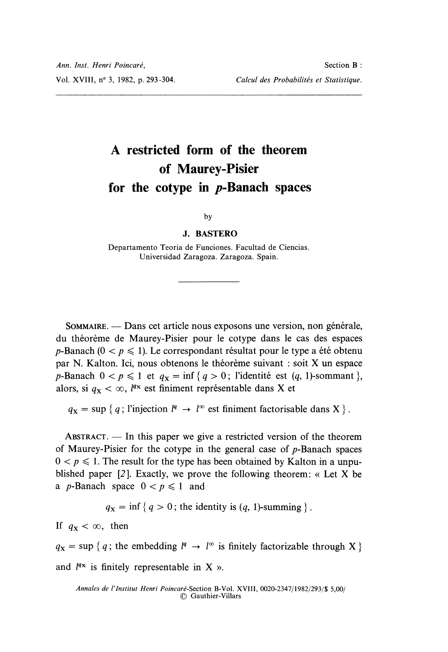# A restricted form of the theorem of Maurey-Pisier for the cotype in  $p$ -Banach spaces

#### by

#### J. BASTERO

Departamento Teoria de Funciones. Facultad de Ciencias. Universidad Zaragoza. Zaragoza. Spain.

SOMMAIRE. — Dans cet article nous exposons une version, non générale, du théorème de Maurey-Pisier pour le cotype dans le cas des espaces p-Banach ( $0 < p \le 1$ ). Le correspondant résultat pour le type a été obtenu par N. Kalton. Ici, nous obtenons le théorème suivant : soit X un espace p-Banach  $0 < p \le 1$  et  $q_X = \inf \{ q > 0; \text{ l'identité est } (q, 1)$ -sommant }, alors, si  $q_x < \infty$ , l<sup>qx</sup> est finiment représentable dans X et

 $q_x = \sup \{ q$ ; l'injection  $l^q \to l^{\infty}$  est finiment factorisable dans X  $\}$ .

ABSTRACT.  $-$  In this paper we give a restricted version of the theorem of Maurey-Pisier for the cotype in the general case of  $p$ -Banach spaces  $0 < p \le 1$ . The result for the type has been obtained by Kalton in a unpublished paper  $[2]$ . Exactly, we prove the following theorem: « Let X be a *p*-Banach space  $0 < p \le 1$  and

 $q_x = \inf \{ q > 0 \}$ ; the identity is  $(q, 1)$ -summing  $\}$ .

If  $q_{\text{x}} < \infty$ , then

 $q_x = \sup \{ q$ ; the embedding  $l^q \to l^{\infty}$  is finitely factorizable through X } and  $l^{qx}$  is finitely representable in X ».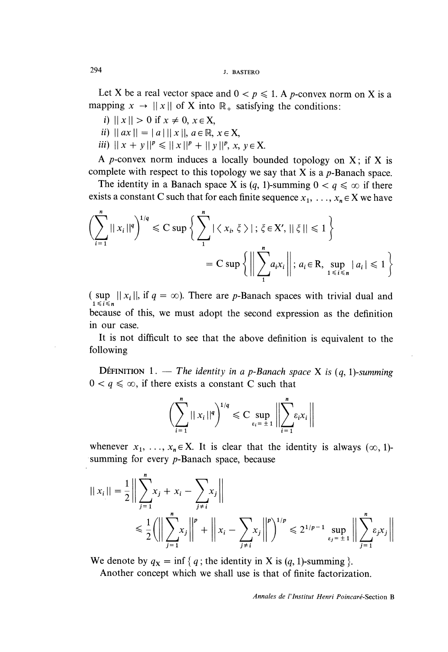Let X be a real vector space and  $0 < p \le 1$ . A p-convex norm on X is a mapping  $x \to ||x||$  of X into  $\mathbb{R}_+$  satisfying the conditions:

- i)  $||x|| > 0$  if  $x \neq 0, x \in X$ ,
- ii)  $\|ax\| = \|a\| \|x\|, a \in \mathbb{R}, x \in X$
- iii)  $||x + y||^p \le ||x||^p + ||y||^p, x, y \in X.$

A *p*-convex norm induces a locally bounded topology on  $X$ ; if X is complete with respect to this topology we say that  $X$  is a *p*-Banach space.

The identity in a Banach space X is  $(q, 1)$ -summing  $0 < q \leq \infty$  if there exists a constant C such that for each finite sequence  $x_1, \ldots, x_n \in X$  we have

$$
\left(\sum_{i=1}^{n} ||x_i||^q\right)^{1/q} \leq C \sup \left\{\sum_{i=1}^{n} |\langle x_i, \xi \rangle|; \xi \in X', ||\xi|| \leq 1 \right\}
$$
  
= C sup  $\left\{\left\|\sum_{i=1}^{n} a_i x_i\right\|; a_i \in \mathbb{R}, \sup_{1 \leq i \leq n} |a_i| \leq 1 \right\}$ 

(sup  $||x_i||$ , if  $q = \infty$ ). There are p-Banach spaces with trivial dual and because of this, we must adopt the second expression as the definition in our case.

It is not difficult to see that the above definition is equivalent to the following

**D**EFINITION 1. - The identity in a p-Banach space X is  $(q, 1)$ -summing  $0 < q \leq \infty$ , if there exists a constant C such that

$$
\left(\sum_{i=1}^n ||x_i||^q\right)^{1/q} \leq C \sup_{\varepsilon_i = \pm 1} \left|\left|\sum_{i=1}^n \varepsilon_i x_i\right|\right|
$$

whenever  $x_1, \ldots, x_n \in X$ . It is clear that the identity is always  $(\infty, 1)$ summing for every *p*-Banach space, because

$$
||x_i|| = \frac{1}{2} \left\| \sum_{j=1}^{n} x_j + x_i - \sum_{j \neq i} x_j \right\|
$$
  

$$
\leq \frac{1}{2} \left( \left\| \sum_{j=1}^{n} x_j \right\|^p + \left\| x_i - \sum_{j \neq i} x_j \right\|^p \right)^{1/p} \leq 2^{1/p-1} \sup_{\varepsilon_j = \pm 1} \left\| \sum_{j=1}^{n} \varepsilon_j x_j \right\|
$$

We denote by  $q_X = \inf \{ q$ ; the identity in X is  $(q, 1)$ -summing  $\}$ .

Another concept which we shall use is that of finite factorization.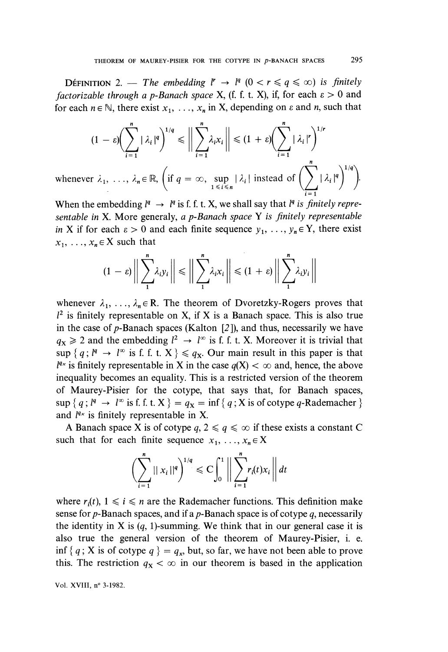DEFINITION 2. — The embedding  $l^r \rightarrow l^q$   $(0 < r \leq q \leq \infty)$  is finitely factorizable through a p-Banach space X, (f. f. t. X), if, for each  $\varepsilon > 0$  and for each  $n \in \mathbb{N}$ , there exist  $x_1, \ldots, x_n$  in X, depending on  $\varepsilon$  and n, such that

$$
(1 - \varepsilon) \Biggl( \sum_{i=1}^{n} |\lambda_{i}|^{q} \Biggr)^{1/q} \leq \Biggl\| \sum_{i=1}^{n} \lambda_{i} x_{i} \Biggr\| \leq (1 + \varepsilon) \Biggl( \sum_{i=1}^{n} |\lambda_{i}|^{r} \Biggr)^{1/r}
$$
  
whenever  $\lambda_{1}, \dots, \lambda_{n} \in \mathbb{R}, \Biggl( \text{if } q = \infty, \sup_{1 \leq i \leq n} |\lambda_{i}| \text{ instead of } \Biggl( \sum_{i=1}^{n} |\lambda_{i}|^{q} \Biggr)^{1/q} \Biggr).$ 

When the embedding  $l^q \rightarrow l^q$  is f. f. t. X, we shall say that  $l^q$  is finitely representable in X. More generaly, a p-Banach space Y is finitely representable in X if for each  $\epsilon > 0$  and each finite sequence  $y_1, \ldots, y_n \in Y$ , there exist  $x_1, \ldots, x_n \in X$  such that

$$
(1 - \varepsilon) \Big\| \sum_{i}^{n} \lambda_{i} y_{i} \Big\| \leq \Big\| \sum_{i}^{n} \lambda_{i} x_{i} \Big\| \leq (1 + \varepsilon) \Big\| \sum_{i}^{n} \lambda_{i} y_{i} \Big\|
$$

whenever  $\lambda_1, \ldots, \lambda_n \in \mathbb{R}$ . The theorem of Dvoretzky-Rogers proves that  $l^2$  is finitely representable on X, if X is a Banach space. This is also true in the case of  $p$ -Banach spaces (Kalton  $[2]$ ), and thus, necessarily we have  $q_x \ge 2$  and the embedding  $l^2 \to l^{\infty}$  is f. f. t. X. Moreover it is trivial that  $\sup \{q : l^q \to l^\infty \text{ is f. f. t. X}\}\leq q_x$ . Our main result in this paper is that  $l^{q_x}$  is finitely representable in X in the case  $q(X) < \infty$  and, hence, the above inequality becomes an equality. This is a restricted version of the theorem of Maurey-Pisier for the cotype, that says that, for Banach spaces,  $\sup \{ q : l^q \to l^\infty \text{ is f. f. t. X } \} = q_X = \inf \{ q : X \text{ is of cotype } q\text{-Rademacher } \}$ and  $l^{q_x}$  is finitely representable in X.

A Banach space X is of cotype  $q, 2 \le q \le \infty$  if these exists a constant C such that for each finite sequence  $x_1, \ldots, x_n \in X$ 

$$
\left(\sum_{i=1}^{n}||x_{i}||^{q}\right)^{1/q} \leq C \int_{0}^{1} \left\|\sum_{i=1}^{n} r_{i}(t)x_{i}\right\| dt
$$

where  $r_i(t)$ ,  $1 \le i \le n$  are the Rademacher functions. This definition make sense for  $p$ -Banach spaces, and if a  $p$ -Banach space is of cotype  $q$ , necessarily the identity in X is  $(q, 1)$ -summing. We think that in our general case it is also true the general version of the theorem of Maurey-Pisier, i. e. inf { q; X is of cotype  $q$  } =  $q_x$ , but, so far, we have not been able to prove this. The restriction  $q_x < \infty$  in our theorem is based in the application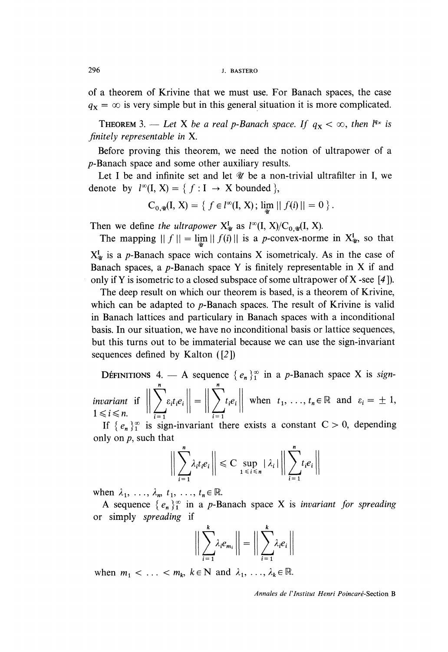of a theorem of Krivine that we must use. For Banach spaces, the case  $q_x = \infty$  is very simple but in this general situation it is more complicated.

**THEOREM** 3. - Let X be a real p-Banach space. If  $q_X < \infty$ , then  $l^{q_X}$  is finitely representable in X.

Before proving this theorem, we need the notion of ultrapower of a p-Banach space and some other auxiliary results.

Let I be and infinite set and let  $W$  be a non-trivial ultrafilter in I, we denote by  $l^{\infty}$ (I, X) = {  $f : I \rightarrow X$  bounded },

$$
C_{0,\mathscr{U}}(I, X) = \{ f \in l^{\infty}(I, X) ; \lim_{\mathscr{U}} || f(i) || = 0 \}.
$$

Then we define the ultrapower  $X_{\psi}^{I}$  as  $l^{\infty}(I, X)/C_{0,\psi}(I, X)$ .

The mapping  $|| f || = \lim_{y \to 0} || f(i) ||$  is a *p*-convex-norme in  $X_{\psi}^I$ , so that  $X_{\mathcal{Y}}^{I}$  is a p-Banach space wich contains X isometricaly. As in the case of Banach spaces, a  $p$ -Banach space Y is finitely representable in X if and only if Y is isometric to a closed subspace of some ultrapower of X-see [4]).

The deep result on which our theorem is based, is a theorem of Krivine, which can be adapted to  $p$ -Banach spaces. The result of Krivine is valid in Banach lattices and particulary in Banach spaces with a inconditional basis. In our situation, we have no inconditional basis or lattice sequences, but this turns out to be immaterial because we can use the sign-invariant sequences defined by Kalton  $(2)$ 

DÉFINITIONS 4. - A sequence  $\{e_n\}_1^{\infty}$  in a p-Banach space X is sign*invariant* if  $\left\| \sum_{i=1}^n \varepsilon_i t_i e_i \right\| = \left\| \sum_{i=1}^n t_i e_i \right\|$  when  $t_1, \ldots, t_n \in \mathbb{R}$  and  $\varepsilon_i = \pm 1$ ,  $1 \le i \le n$ .

If  $\{e_n\}_1^{\infty}$  is sign-invariant there exists a constant  $C > 0$ , depending only on  $p$ , such that

$$
\bigg\|\sum_{i=1}^n \lambda_i t_i e_i\bigg\| \leq C \sup_{1 \leq i \leq n} |\lambda_i| \bigg\|\sum_{i=1}^n t_i e_i\bigg\|
$$

when  $\lambda_1, \ldots, \lambda_n, t_1, \ldots, t_n \in \mathbb{R}$ .

A sequence  $\{e_n\}_1^{\infty}$  in a p-Banach space X is invariant for spreading or simply spreading if

$$
\bigg\|\sum_{i=1}^k \lambda_i e_{m_i}\bigg\| = \bigg\|\sum_{i=1}^k \lambda_i e_i\bigg\|
$$

when  $m_1 < \ldots < m_k$ ,  $k \in \mathbb{N}$  and  $\lambda_1, \ldots, \lambda_k \in \mathbb{R}$ .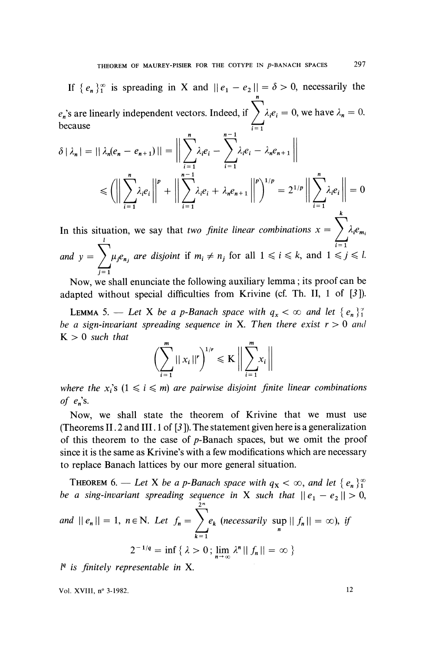If 
$$
\{e_n\}_1^{\infty}
$$
 is spreading in X and  $||e_1 - e_2|| = \delta > 0$ , necessarily the   
  $e_n$ 's are linearly independent vectors. Indeed, if  $\sum_{i=1}^n \lambda_i e_i = 0$ , we have  $\lambda_n = 0$ .  
because

$$
\delta |\lambda_n| = || \lambda_n(e_n - e_{n+1}) || = \Big\| \sum_{i=1}^n \lambda_i e_i - \sum_{i=1}^{n-1} \lambda_i e_i - \lambda_n e_{n+1} \Big\|
$$
  

$$
\leq \Big( \Big\| \sum_{i=1}^n \lambda_i e_i \Big\|^p + \Big\| \sum_{i=1}^{n-1} \lambda_i e_i + \lambda_n e_{n+1} \Big\|^p \Big)^{1/p} = 2^{1/p} \Big\| \sum_{i=1}^n \lambda_i e_i \Big\| = 0
$$

In this situation, we say that two *finite linear combinations*  $x = \sum_{i=1}^{\infty} \lambda_i e_{m_i}$ and  $y = \int \mu_j e_{n_j}$  are disjoint if  $m_i \neq n_j$  for all  $1 \leqslant i \leqslant k$ , and  $1 \leqslant j \leqslant l$ .  $\sum_{j=1}$ 

Now, we shall enunciate the following auxiliary lemma; its proof can be adapted without special difficulties from Krivine (cf. Th. II, 1 of [3 ]).

**LEMMA** 5. - Let X be a p-Banach space with  $q_x < \infty$  and let  $\{e_n\}_1^{\infty}$ be a sign-invariant spreading sequence in X. Then there exist  $r > 0$  and  $K > 0$  such that

$$
\left(\sum_{i=1}^m ||x_i||^r\right)^{1/r} \leqslant K \left\|\sum_{i=1}^m x_i\right\|
$$

where the  $x_i$ 's  $(1 \le i \le m)$  are pairwise disjoint finite linear combinations of  $e_n$ 's.

Now, we shall state the theorem of Krivine that we must use (Theorems II. 2 and III. 1 of  $[3]$ ). The statement given here is a generalization of this theorem to the case of  $p$ -Banach spaces, but we omit the proof since it is the same as Krivine's with a few modifications which are necessary to replace Banach lattices by our more general situation.

**THEOREM** 6. — Let X be a p-Banach space with  $q_X < \infty$ , and let  $\{e_n\}_1^{\infty}$ be a sing-invariant spreading sequence in X such that  $||e_1 - e_2|| > 0$ ,<br>and  $||e_n|| = 1$ ,  $n \in \mathbb{N}$ . Let  $f_n = \sum_{k=1}^{2^n} e_k$  (necessarily sup  $||f_n|| = \infty$ ), if  $2^{-1/q} = \inf \{ \lambda > 0; \lim_{n \to \infty} \lambda^n || f_n || = \infty \}$ 

 $l<sup>q</sup>$  is finitely representable in X.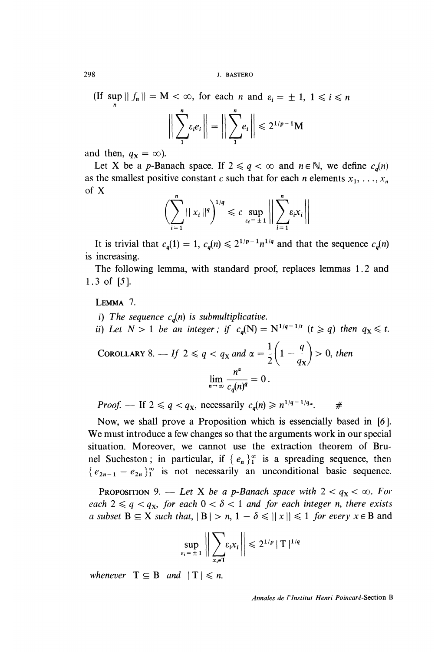(If sup  $|| f_n || = M < \infty$ , for each *n* and  $\varepsilon_i = \pm 1, 1 \le i \le n$ 

$$
\bigg\|\sum_{i}^{n}\varepsilon_{i}e_{i}\bigg\|=\bigg\|\sum_{i}^{n}e_{i}\bigg\|\leq 2^{1/p-1}M
$$

and then,  $q_x = \infty$ ).

Let X be a p-Banach space. If  $2 \le q < \infty$  and  $n \in \mathbb{N}$ , we define  $c_q(n)$ as the smallest positive constant c such that for each n elements  $x_1, \ldots, x_n$ of X

$$
\left(\sum_{i=1}^n ||x_i||^q\right)^{1/q} \leqslant c \sup_{\varepsilon_i=\pm 1} \left|\left|\sum_{i=1}^n \varepsilon_i x_i\right|\right|
$$

It is trivial that  $c_q(1) = 1$ ,  $c_q(n) \leq 2^{1/p-1} n^{1/q}$  and that the sequence  $c_q(n)$ is increasing.

The following lemma, with standard proof, replaces lemmas 1.2 and 1. 3 of [5].

LEMMA<sub>7</sub>.

i) The sequence  $c_a(n)$  is submultiplicative.

ii) Let  $N > 1$  be an integer; if  $c_q(N) = N^{1/q-1/t}$   $(t \ge q)$  then  $q_X \le t$ .

COROLLARY 8. — If 
$$
2 \le q < q_X
$$
 and  $\alpha = \frac{1}{2} \left( 1 - \frac{q}{q_X} \right) > 0$ , then  

$$
\lim_{n \to \infty} \frac{n^{\alpha}}{c_q(n)^q} = 0.
$$

*Proof.* — If  $2 \le q < q_X$ , necessarily  $c_q(n) \ge n^{1/q-1/q_X}$ . #

Now, we shall prove a Proposition which is essencially based in [6]. We must introduce a few changes so that the arguments work in our special situation. Moreover, we cannot use the extraction theorem of Brunel Sucheston; in particular, if  $\{e_n\}_1^{\infty}$  is a spreading sequence, then  ${e_{2n-1} - e_{2n}}^{\infty}$  is not necessarily an unconditional basic sequence.

**PROPOSITION** 9. - Let X be a p-Banach space with  $2 < q_X < \infty$ . For each  $2 \le q \le q_x$ , for each  $0 < \delta < 1$  and for each integer n, there exists a subset  $B \subseteq X$  such that,  $|B| > n$ ,  $1 - \delta \le ||x|| \le 1$  for every  $x \in B$  and

$$
\sup_{\varepsilon_i = \pm 1} \left\| \sum_{\mathbf{x}_i \in \mathsf{T}} \varepsilon_i x_i \right\| \leq 2^{1/p} |\mathsf{T}|^{1/q}
$$

whenever  $T \subseteq B$  and  $|T| \le n$ .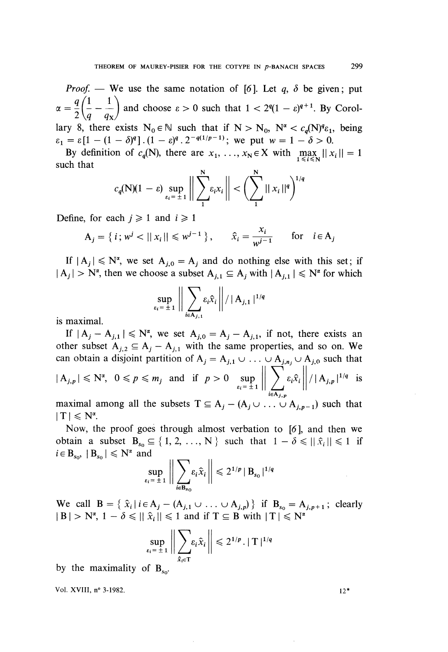*Proof.* - We use the same notation of [6]. Let  $q$ ,  $\delta$  be given; put  $\alpha = \frac{4}{2} \left( \frac{1}{q} - \frac{1}{q_{\rm X}} \right)$  and choose  $\varepsilon > 0$  such that  $1 < 2^q (1 - \varepsilon)^{q+1}$ . By Corollary 8, there exists  $N_0 \in \mathbb{N}$  such that if  $N > N_0$ ,  $N^{\alpha} < c_a(N)^{q} \epsilon_1$ , being  $\varepsilon_1 = \varepsilon [1 - (1 - \delta)^q]$ .  $(1 - \varepsilon)^q$ .  $2^{-q(1/p-1)}$ ; we put  $w = 1 - \delta > 0$ .

By definition of  $c_q(N)$ , there are  $x_1, \ldots, x_N \in X$  with  $\max_{1 \le i \le N} ||x_i|| = 1$ <br>such that

$$
c_q(N)(1-\varepsilon)\sup_{\varepsilon_i=\pm 1}\bigg\|\sum_{i}^N \varepsilon_i x_i\bigg\| < \bigg(\sum_{i}^N||x_i||^q\bigg)^{1/q}
$$

Define, for each  $i \ge 1$  and  $i \ge 1$ 

$$
A_j = \{ i; w^j < ||x_i|| \le w^{j-1} \}, \qquad \hat{x}_i = \frac{x_i}{w^{j-1}} \quad \text{for} \quad i \in A_j
$$

If  $|A_i| \le N^{\alpha}$ , we set  $A_{i,0} = A_i$  and do nothing else with this set; if  $|A_i| > N^{\alpha}$ , then we choose a subset  $A_{i,1} \subseteq A_i$  with  $|A_{i,1}| \le N^{\alpha}$  for which

$$
\sup_{\varepsilon_i=\pm 1}\Big\|\sum_{i\in A_{j,1}}\varepsilon_i\hat{x}_i\Big\|/|A_{j,1}|^{1/q}
$$

is maximal.

If  $|A_i - A_{i,1}| \leq N^{\alpha}$ , we set  $A_{i,0} = A_i - A_{i,1}$ , if not, there exists an other subset  $A_{j,2} \subseteq A_j - A_{j,1}$  with the same properties, and so on. We can obtain a disjoint partition of  $A_j = A_{j,1} \cup ... \cup A_{j,n_j} \cup A_{j,0}$  such that<br>  $|A_{j,p}| \le N^{\alpha}, 0 \le p \le m_j$  and if  $p > 0$  sup  $\left\| \sum_{\epsilon_i = \pm 1}^{N} \epsilon_i \hat{x}_i \right\| / |A_{j,p}|^{1/q}$  is

maximal among all the subsets  $T \subseteq A_i - (A_i \cup ... \cup A_{i,n-1})$  such that  $|T| \leq N^{\alpha}$ .

Now, the proof goes through almost verbation to [6], and then we obtain a subset  $B_{s_0} \subseteq \{1, 2, ..., N\}$  such that  $1 - \delta \le ||\hat{x}_i|| \le 1$  if  $i \in B_{s_0}$ ,  $|B_{s_0}| \leq N^{\alpha}$  and

$$
\sup_{\varepsilon_i=\pm 1}\left\|\sum_{i\in B_{s_0}}\varepsilon_i\widehat{x}_i\right\|\leqslant 2^{1/p}\|B_{s_0}|^{1/q}
$$

We call  $B = \{ \hat{x}_i | i \in A_j - (A_{j,1} \cup ... \cup A_{j,p}) \}$  if  $B_{s_0} = A_{j,p+1}$ ; clearly  $|B| > N^{\alpha}, 1 - \delta \leq ||\hat{x}_i|| \leq 1$  and if  $T \subseteq B$  with  $|T| \leq N^{\alpha}$ 

$$
\sup_{\varepsilon_i=\pm 1}\left\|\sum_{\hat{x}_i\in\mathsf{T}}\varepsilon_i\hat{x}_i\right\|\leqslant 2^{1/p}\cdot|\mathsf{T}|^{1/q}
$$

by the maximality of  $B_{so}$ .

Vol. XVIII, n° 3-1982.

 $12*$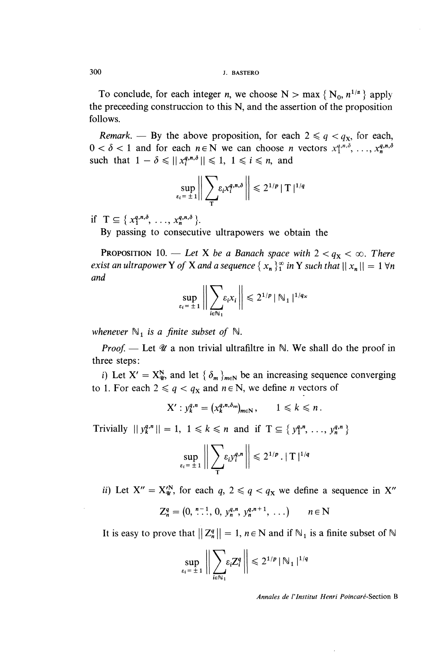To conclude, for each integer *n*, we choose N > max { $N_0$ ,  $n^{1/\alpha}$ } apply the preceeding construccion to this N, and the assertion of the proposition follows.

Remark. — By the above proposition, for each  $2 \leq q \leq q_{x}$ , for each,  $0 < \delta < 1$  and for each  $n \in \mathbb{N}$  we can choose n vectors  $x_1^{q,n,\delta}, \ldots, x_n^{q,n,\delta}$ such that  $1 - \delta \leq ||x_i^{q,n,\delta}|| \leq 1, 1 \leq i \leq n$ , and

$$
\sup_{\varepsilon_i=\pm 1}\Big\|\sum_{\mathsf{T}}\varepsilon_i x_i^{q,n,\delta}\Big\|\leqslant 2^{1/p}\|\mathsf{T}\|^{1/q}
$$

if  $T \subseteq \{x_1^{q,n,\delta}, \ldots, x_n^{q,n,\delta}\}.$ 

By passing to consecutive ultrapowers we obtain the

**PROPOSITION** 10. — Let X be a Banach space with  $2 < q_X < \infty$ . There exist an ultrapower Y of X and a sequence  $\{x_n\}_1^{\infty}$  in Y such that  $||x_n|| = 1 \forall n$ and

$$
\sup_{\varepsilon_i = \pm 1} \left\| \sum_{i \in \mathbb{N}_1} \varepsilon_i x_i \right\| \leq 2^{1/p} |\mathbb{N}_1|^{1/q_x}
$$

whenever  $\mathbb{N}_1$  is a finite subset of  $\mathbb{N}$ .

*Proof.* — Let  $\mathcal{U}$  a non trivial ultrafiltre in  $\mathbb{N}$ . We shall do the proof in three steps :

i) Let  $X' = X_{\mathcal{U}}^N$ , and let  $\{\delta_m\}_{m \in \mathbb{N}}$  be an increasing sequence converging to 1. For each  $2 \le q \le q_x$  and  $n \in \mathbb{N}$ , we define *n* vectors of

$$
X': y_k^{q,n} = (x_k^{q,n,\delta_m})_{m \in \mathbb{N}}, \qquad 1 \leq k \leq n.
$$

Trivially  $||y_k^{q,n}|| = 1, 1 \le k \le n$  and if  $T \subseteq \{y_1^{q,n}, \ldots, y_n^{q,n}\}\$ 

$$
\sup_{\varepsilon_i=\pm 1}\bigg\|\sum_{\mathsf{T}}\varepsilon_i y_i^{q,n}\bigg\|\leqslant 2^{1/p}\cdot |\mathsf{T}|^{1/q}
$$

ii) Let  $X'' = X_{\mathcal{U}}^N$ , for each  $q, 2 \leq q < q_X$  we define a sequence in  $X''$ 

$$
Z_n^q = (0, \stackrel{n-1}{\ldots}, 0, y_n^{q,n}, y_n^{q,n+1}, \ldots) \qquad n \in \mathbb{N}
$$

It is easy to prove that  $||Z_n^q|| = 1$ ,  $n \in \mathbb{N}$  and if  $\mathbb{N}_1$  is a finite subset of  $\mathbb{N}$ 

$$
\sup_{\varepsilon_i=\pm 1}\left\|\sum_{i\in\mathbb{N}_1}\varepsilon_i Z_i^q\right\|\leq 2^{1/p}\|\mathbb{N}_1\|^{1/q}
$$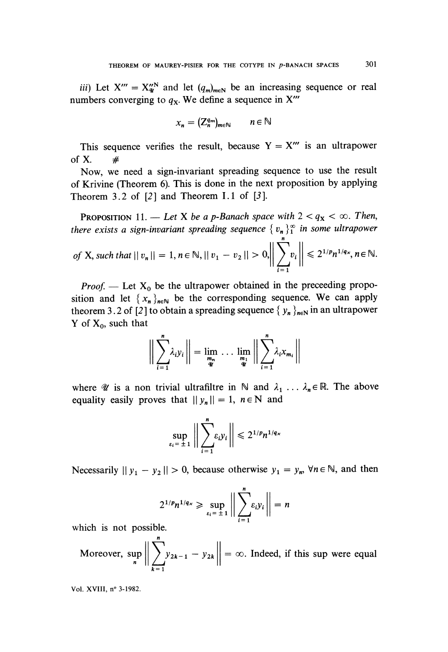iii) Let  $X''' = X_{\mathcal{U}}^{N}$  and let  $(q_m)_{m \in \mathbb{N}}$  be an increasing sequence or real numbers converging to  $q_x$ . We define a sequence in X"'

$$
x_n = (Z_n^{q_m})_{m \in \mathbb{N}} \qquad n \in \mathbb{N}
$$

This sequence verifies the result, because  $Y = X'''$  is an ultrapower of X.  $\#$ 

Now, we need a sign-invariant spreading sequence to use the result of Krivine (Theorem 6). This is done in the next proposition by applying Theorem 3.2 of  $[2]$  and Theorem I.1 of  $[3]$ .

**PROPOSITION** 11. - Let X be a p-Banach space with  $2 < q_X < \infty$ . Then, there exists a sign-invariant spreading sequence  $\{v_n\}_1^{\infty}$  in some ultrapower

of X, such that 
$$
||v_n|| = 1
$$
,  $n \in \mathbb{N}$ ,  $||v_1 - v_2|| > 0$ ,  $\left\| \sum_{i=1}^n v_i \right\| \leq 2^{1/p} n^{1/q_x}, n \in \mathbb{N}$ .

*Proof.* - Let  $X_0$  be the ultrapower obtained in the preceeding proposition and let  $\{x_n\}_{n\in\mathbb{N}}$  be the corresponding sequence. We can apply theorem 3.2 of [2] to obtain a spreading sequence  $\{y_n\}_{n\in\mathbb{N}}$  in an ultrapower Y of  $X_0$ , such that

$$
\bigg\|\sum_{i=1}^n \lambda_i y_i\bigg\| = \lim_{\substack{m_n \\ \mathcal{U}}} \dots \lim_{\substack{m_1 \\ \mathcal{U}}} \bigg\|\sum_{i=1}^n \lambda_i x_{m_i}\bigg\|
$$

where  $\mathscr U$  is a non trivial ultrafiltre in N and  $\lambda_1 \ldots \lambda_n \in \mathbb R$ . The above equality easily proves that  $||y_n|| = 1$ ,  $n \in N$  and

$$
\sup_{\varepsilon_i=\pm 1}\bigg\|\sum_{i=1}^n\varepsilon_i y_i\bigg\|\leq 2^{1/p}n^{1/q_x}
$$

Necessarily  $||y_1 - y_2|| > 0$ , because otherwise  $y_1 = y_n$ ,  $\forall n \in \mathbb{N}$ , and then

$$
2^{1/p}n^{1/q_x} \geqslant \sup_{\varepsilon_i=\pm 1}\bigg\|\sum_{i=1}^n \varepsilon_i y_i\bigg\|=n
$$

which is not possible.

Moreover, 
$$
\sup_{n} \left\| \sum_{k=1}^{n} y_{2k-1} - y_{2k} \right\| = \infty
$$
. Indeed, if this sup were equal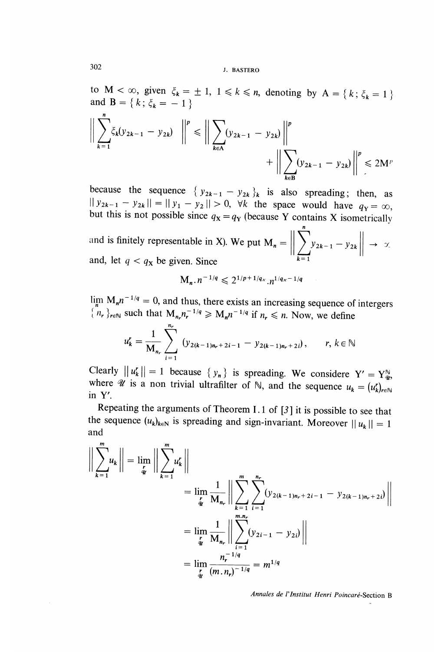to  $M < \infty$ , given  $\xi_k = \pm 1$ ,  $1 \le k \le n$ , denoting by  $A = \{k; \xi_k = 1\}$  and  $B = \{k; \xi_k = -1\}$ 

$$
\left\| \sum_{k=1}^{n} \zeta_{k}(y_{2k-1} - y_{2k}) \right\|^{p} \le \left\| \sum_{k \in A} (y_{2k-1} - y_{2k}) \right\|^{p} + \left\| \sum_{k \in B} (y_{2k-1} - y_{2k}) \right\|^{p} \le 2M^{p}
$$

because the sequence  $\{y_{2k-1} - y_{2k}\}_k$  is also spreading; then, as  $\|y_{2k-1} - y_{2k}\| = \|y_1 - y_2\| > 0$ ,  $\forall k$  the space would have  $q_Y = \infty$ , but this is not possible since  $q_x = q_y$  (because Y contains X isometrically

and is finitely representable in X). We put  $\mathbf{M}_n = \left\| \sum_{k=1}^{n} y_{2k-1} - y_{2k} \right\| \rightarrow \infty$ and, let  $q < q_x$  be given. Since

$$
M_n \cdot n^{-1/q} \leq 2^{1/p+1/q_x} \cdot n^{1/q_x-1/q}
$$

 $\lim_{n} M_n n^{-1/q} = 0$ , and thus, there exists an increasing sequence of intergers  $\{n_r\}_{r \in \mathbb{N}}$  such that  $M_{n_r} n_r^{-1/q} \ge M_n n^{-1/q}$  if  $n_r \le n$ . Now, we define

$$
u_k^r = \frac{1}{M_{n_r}} \sum_{i=1}^{n_r} (y_{2(k-1)n_r+2i-1} - y_{2(k-1)n_r+2i}), \qquad r, k \in \mathbb{N}
$$

Clearly  $||u_k'|| = 1$  because  $\{y_n\}$  is spreading. We considere  $Y' = Y_{\psi}^{\mathbb{N}}$ , where  $\mathcal{U}$  is a non trivial ultrafilter of  $\mathbb{N}$ , and the sequence  $u_k = (u_k')_{n \in \mathbb{N}}$ inY'.

Repeating the arguments of Theorem 1.1 of [3 ] it is possible to see that the sequence  $(u_k)_{k \in \mathbb{N}}$  is spreading and sign-invariant. Moreover  $||u_k|| = 1$ and

$$
\left\| \sum_{k=1}^{m} u_k \right\| = \lim_{\substack{r \to 0 \\ \frac{r}{4}}} \left\| \sum_{k=1}^{m} u_k^r \right\|
$$
  
\n
$$
= \lim_{\substack{r \to 0 \\ \frac{r}{4}}} \frac{1}{M_{n_r}} \left\| \sum_{k=1}^{m} \sum_{i=1}^{n_r} (y_{2(k-1)n_r + 2i - 1} - y_{2(k-1)n_r + 2i}) \right\|
$$
  
\n
$$
= \lim_{\substack{r \to 0 \\ \frac{r}{4}}} \frac{1}{M_{n_r}} \left\| \sum_{i=1}^{m} (y_{2i-1} - y_{2i}) \right\|
$$
  
\n
$$
= \lim_{\substack{r \to 0 \\ \frac{r}{4}}} \frac{n_r^{-1/q}}{(m.n_r)^{-1/q}} = m^{1/q}
$$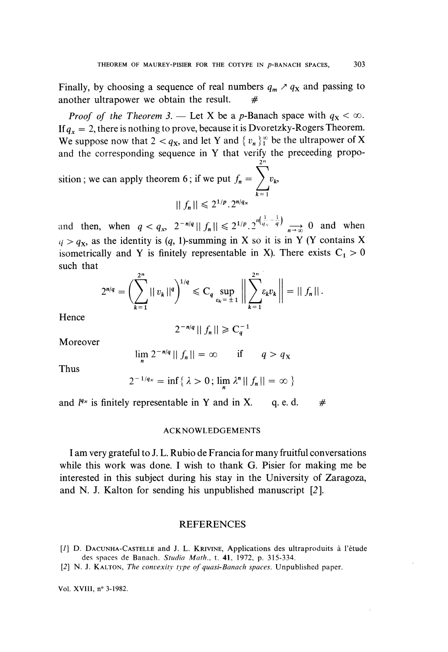Finally, by choosing a sequence of real numbers  $q_m \nearrow q_x$  and passing to another ultrapower we obtain the result.

*Proof of the Theorem 3.* — Let X be a p-Banach space with  $q_x < \infty$ . If  $q_x = 2$ , there is nothing to prove, because it is Dvoretzky-Rogers Theorem. We suppose now that  $2 < q_X$ , and let Y and  $\{v_n\}_1^{\infty}$  be the ultrapower of X and the corresponding sequence in Y that verify the preceeding propo-

sition ; we can apply theorem 6; if we put  $f_n = \sum_{k=1}^{\infty} v_k$ ,  $|| f_n || \leq 2^{1/p} \cdot 2^{n/q_x}$ 

and then, when  $q < q_x$ ,  $2^{-n/q} || f_n || \leq 2^{1/p} \cdot 2^{n(\frac{1}{q_x} - \frac{1}{q})} \longrightarrow 0$  and when  $q > q_x$ , as the identity is (q, 1)-summing in X so it is in Y (Y contains X isometrically and Y is finitely representable in X). There exists  $C_1 > 0$ such that

$$
2^{n/q} = \left(\sum_{k=1}^{2^n} ||v_k||^q\right)^{1/q} \leq C_q \sup_{\varepsilon_k = \pm 1} \left|\left|\sum_{k=1}^{2^n} \varepsilon_k v_k\right|\right| = ||f_n||.
$$

**Hence** 

$$
2^{-n/q} \mid \mid f_n \mid \mid \geq C_q^{-1}
$$

Moreover

$$
\lim_{m} 2^{-n/q} || f_n || = \infty \qquad \text{if} \qquad q > q_X
$$

Thus

$$
2^{-1/q_x} = \inf \{ \lambda > 0; \lim_{n} \lambda^{n} || f_n || = \infty \}
$$

and  $l^{q_x}$  is finitely representable in Y and in X. q. e. d.  $\#$ 

### ACKNOWLEDGEMENTS

I am very grateful to J. L. Rubio de Francia for many fruitful conversations while this work was done. I wish to thank G. Pisier for making me be interested in this subject during his stay in the University of Zaragoza, and N. J. Kalton for sending his unpublished manuscript [2].

### **REFERENCES**

- [1] D. DACUNHA-CASTELLE and J. L. KRIVINE, Applications des ultraproduits à l'étude des spaces de Banach. Studia Math., t. 41, 1972, p. 315-334.
- [2] N. J. KALTON, The convexity type of quasi-Banach spaces. Unpublished paper.